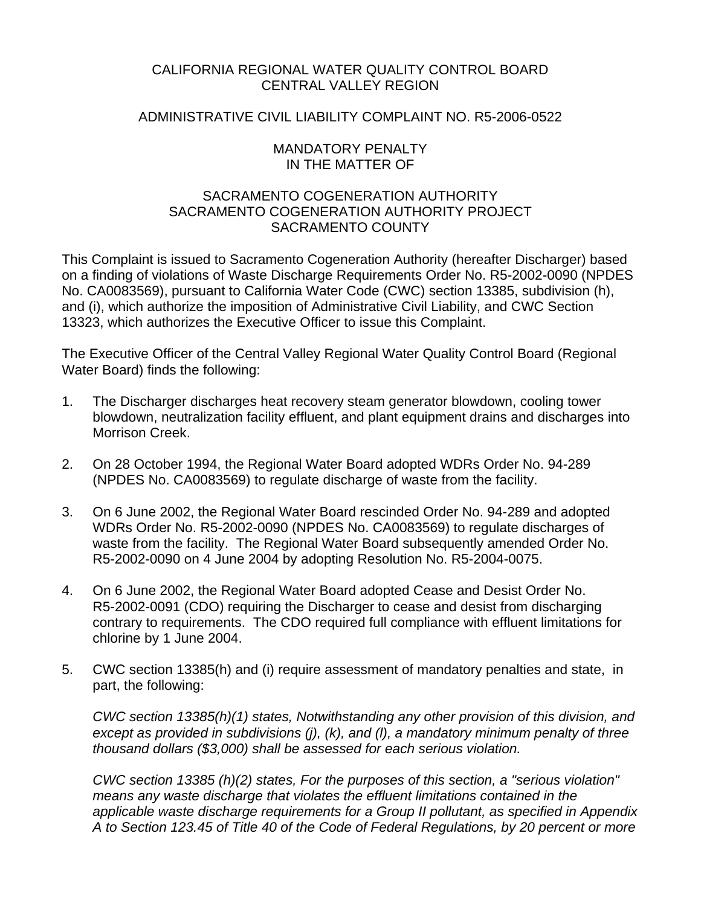## CALIFORNIA REGIONAL WATER QUALITY CONTROL BOARD CENTRAL VALLEY REGION

## ADMINISTRATIVE CIVIL LIABILITY COMPLAINT NO. R5-2006-0522

### MANDATORY PENALTY IN THE MATTER OF

## SACRAMENTO COGENERATION AUTHORITY SACRAMENTO COGENERATION AUTHORITY PROJECT SACRAMENTO COUNTY

This Complaint is issued to Sacramento Cogeneration Authority (hereafter Discharger) based on a finding of violations of Waste Discharge Requirements Order No. R5-2002-0090 (NPDES No. CA0083569), pursuant to California Water Code (CWC) section 13385, subdivision (h), and (i), which authorize the imposition of Administrative Civil Liability, and CWC Section 13323, which authorizes the Executive Officer to issue this Complaint.

The Executive Officer of the Central Valley Regional Water Quality Control Board (Regional Water Board) finds the following:

- 1. The Discharger discharges heat recovery steam generator blowdown, cooling tower blowdown, neutralization facility effluent, and plant equipment drains and discharges into Morrison Creek.
- 2. On 28 October 1994, the Regional Water Board adopted WDRs Order No. 94-289 (NPDES No. CA0083569) to regulate discharge of waste from the facility.
- 3. On 6 June 2002, the Regional Water Board rescinded Order No. 94-289 and adopted WDRs Order No. R5-2002-0090 (NPDES No. CA0083569) to regulate discharges of waste from the facility. The Regional Water Board subsequently amended Order No. R5-2002-0090 on 4 June 2004 by adopting Resolution No. R5-2004-0075.
- 4. On 6 June 2002, the Regional Water Board adopted Cease and Desist Order No. R5-2002-0091 (CDO) requiring the Discharger to cease and desist from discharging contrary to requirements. The CDO required full compliance with effluent limitations for chlorine by 1 June 2004.
- 5. CWC section 13385(h) and (i) require assessment of mandatory penalties and state, in part, the following:

*CWC section 13385(h)(1) states, Notwithstanding any other provision of this division, and except as provided in subdivisions (j), (k), and (l), a mandatory minimum penalty of three thousand dollars (\$3,000) shall be assessed for each serious violation.*

*CWC section 13385 (h)(2) states, For the purposes of this section, a "serious violation" means any waste discharge that violates the effluent limitations contained in the applicable waste discharge requirements for a Group II pollutant, as specified in Appendix A to Section 123.45 of Title 40 of the Code of Federal Regulations, by 20 percent or more*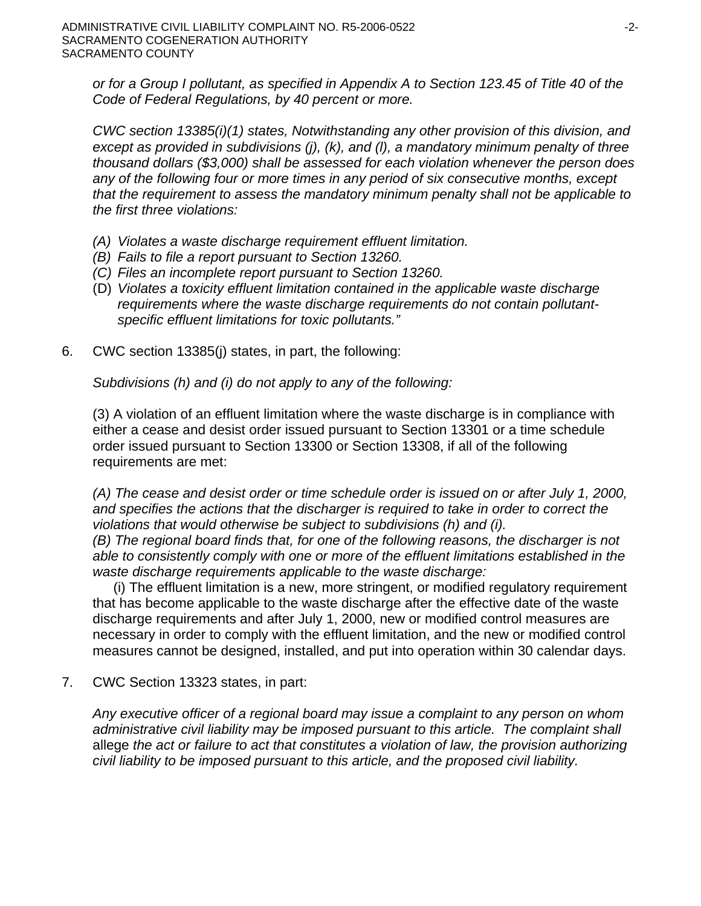*or for a Group I pollutant, as specified in Appendix A to Section 123.45 of Title 40 of the Code of Federal Regulations, by 40 percent or more.*

*CWC section 13385(i)(1) states, Notwithstanding any other provision of this division, and except as provided in subdivisions (j), (k), and (l), a mandatory minimum penalty of three thousand dollars (\$3,000) shall be assessed for each violation whenever the person does any of the following four or more times in any period of six consecutive months, except that the requirement to assess the mandatory minimum penalty shall not be applicable to the first three violations:* 

- *(A) Violates a waste discharge requirement effluent limitation.*
- *(B) Fails to file a report pursuant to Section 13260.*
- *(C) Files an incomplete report pursuant to Section 13260.*
- (D) *Violates a toxicity effluent limitation contained in the applicable waste discharge requirements where the waste discharge requirements do not contain pollutantspecific effluent limitations for toxic pollutants."*
- 6. CWC section 13385(j) states, in part, the following:

*Subdivisions (h) and (i) do not apply to any of the following:* 

(3) A violation of an effluent limitation where the waste discharge is in compliance with either a cease and desist order issued pursuant to Section 13301 or a time schedule order issued pursuant to Section 13300 or Section 13308, if all of the following requirements are met:

*(A) The cease and desist order or time schedule order is issued on or after July 1, 2000, and specifies the actions that the discharger is required to take in order to correct the violations that would otherwise be subject to subdivisions (h) and (i).*

*(B) The regional board finds that, for one of the following reasons, the discharger is not able to consistently comply with one or more of the effluent limitations established in the waste discharge requirements applicable to the waste discharge:* 

(i) The effluent limitation is a new, more stringent, or modified regulatory requirement that has become applicable to the waste discharge after the effective date of the waste discharge requirements and after July 1, 2000, new or modified control measures are necessary in order to comply with the effluent limitation, and the new or modified control measures cannot be designed, installed, and put into operation within 30 calendar days.

7. CWC Section 13323 states, in part:

*Any executive officer of a regional board may issue a complaint to any person on whom administrative civil liability may be imposed pursuant to this article. The complaint shall*  allege *the act or failure to act that constitutes a violation of law, the provision authorizing civil liability to be imposed pursuant to this article, and the proposed civil liability.*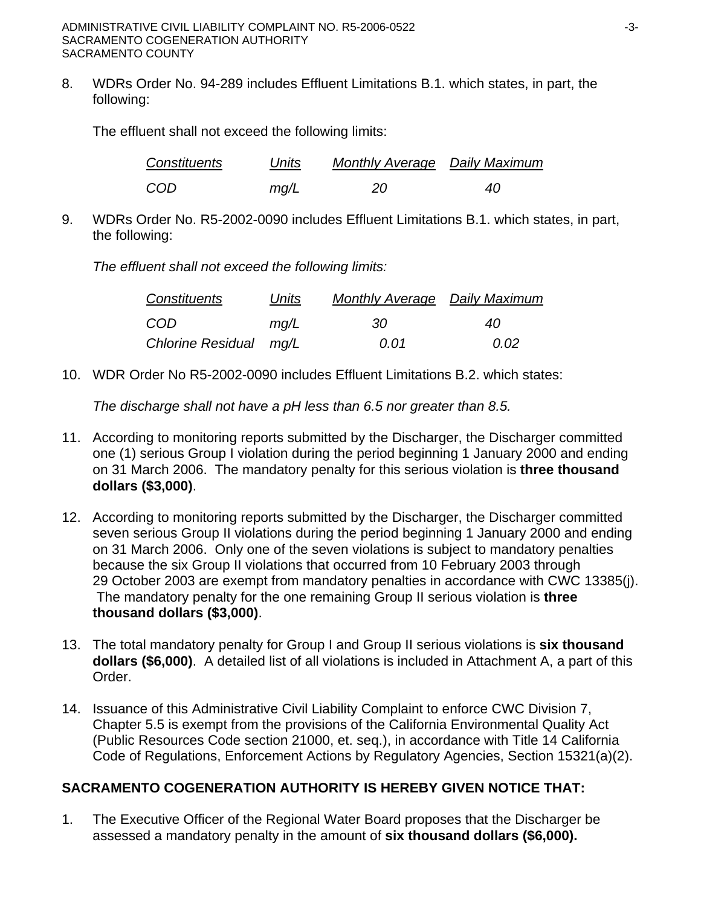8. WDRs Order No. 94-289 includes Effluent Limitations B.1. which states, in part, the following:

The effluent shall not exceed the following limits:

| Constituents | Units | <b>Monthly Average</b> Daily Maximum |    |
|--------------|-------|--------------------------------------|----|
| COD          | mq/L  | 20                                   | 40 |

9. WDRs Order No. R5-2002-0090 includes Effluent Limitations B.1. which states, in part, the following:

*The effluent shall not exceed the following limits:* 

| Constituents           | Units | <b>Monthly Average Daily Maximum</b> |      |  |
|------------------------|-------|--------------------------------------|------|--|
| COD                    | mq/L  | -30                                  | 40   |  |
| Chlorine Residual mg/L |       | 0.O1                                 | 0.02 |  |

10. WDR Order No R5-2002-0090 includes Effluent Limitations B.2. which states:

*The discharge shall not have a pH less than 6.5 nor greater than 8.5.*

- 11. According to monitoring reports submitted by the Discharger, the Discharger committed one (1) serious Group I violation during the period beginning 1 January 2000 and ending on 31 March 2006. The mandatory penalty for this serious violation is **three thousand dollars (\$3,000)**.
- 12. According to monitoring reports submitted by the Discharger, the Discharger committed seven serious Group II violations during the period beginning 1 January 2000 and ending on 31 March 2006. Only one of the seven violations is subject to mandatory penalties because the six Group II violations that occurred from 10 February 2003 through 29 October 2003 are exempt from mandatory penalties in accordance with CWC 13385(j). The mandatory penalty for the one remaining Group II serious violation is **three thousand dollars (\$3,000)**.
- 13. The total mandatory penalty for Group I and Group II serious violations is **six thousand dollars (\$6,000)**. A detailed list of all violations is included in Attachment A, a part of this Order.
- 14. Issuance of this Administrative Civil Liability Complaint to enforce CWC Division 7, Chapter 5.5 is exempt from the provisions of the California Environmental Quality Act (Public Resources Code section 21000, et. seq.), in accordance with Title 14 California Code of Regulations, Enforcement Actions by Regulatory Agencies, Section 15321(a)(2).

# **SACRAMENTO COGENERATION AUTHORITY IS HEREBY GIVEN NOTICE THAT:**

1. The Executive Officer of the Regional Water Board proposes that the Discharger be assessed a mandatory penalty in the amount of **six thousand dollars (\$6,000).**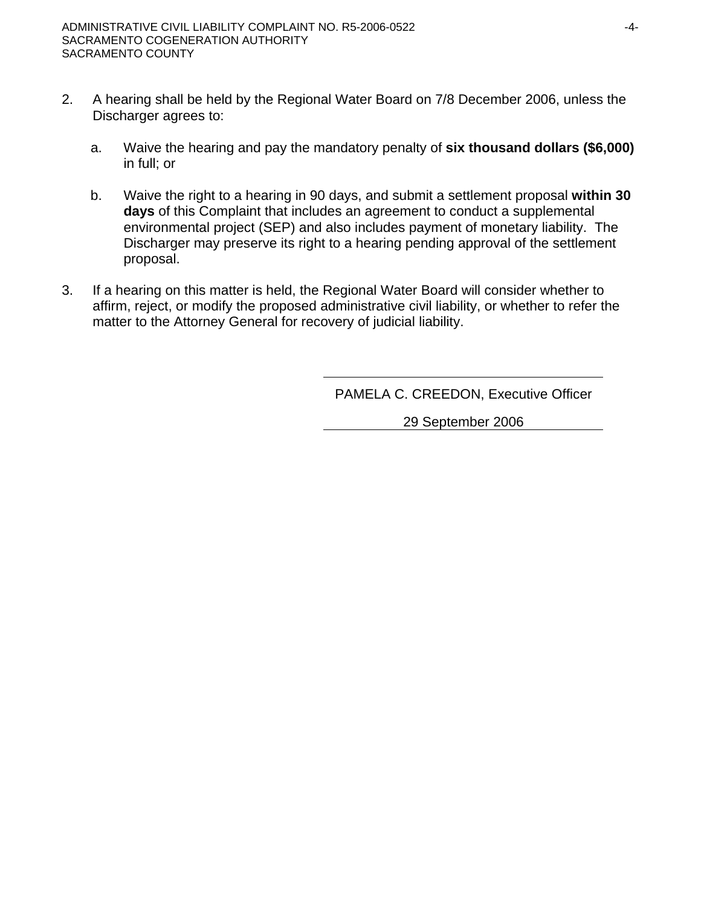- 2. A hearing shall be held by the Regional Water Board on 7/8 December 2006, unless the Discharger agrees to:
	- a. Waive the hearing and pay the mandatory penalty of **six thousand dollars (\$6,000)** in full; or
	- b. Waive the right to a hearing in 90 days, and submit a settlement proposal **within 30 days** of this Complaint that includes an agreement to conduct a supplemental environmental project (SEP) and also includes payment of monetary liability. The Discharger may preserve its right to a hearing pending approval of the settlement proposal.
- 3. If a hearing on this matter is held, the Regional Water Board will consider whether to affirm, reject, or modify the proposed administrative civil liability, or whether to refer the matter to the Attorney General for recovery of judicial liability.

PAMELA C. CREEDON, Executive Officer

29 September 2006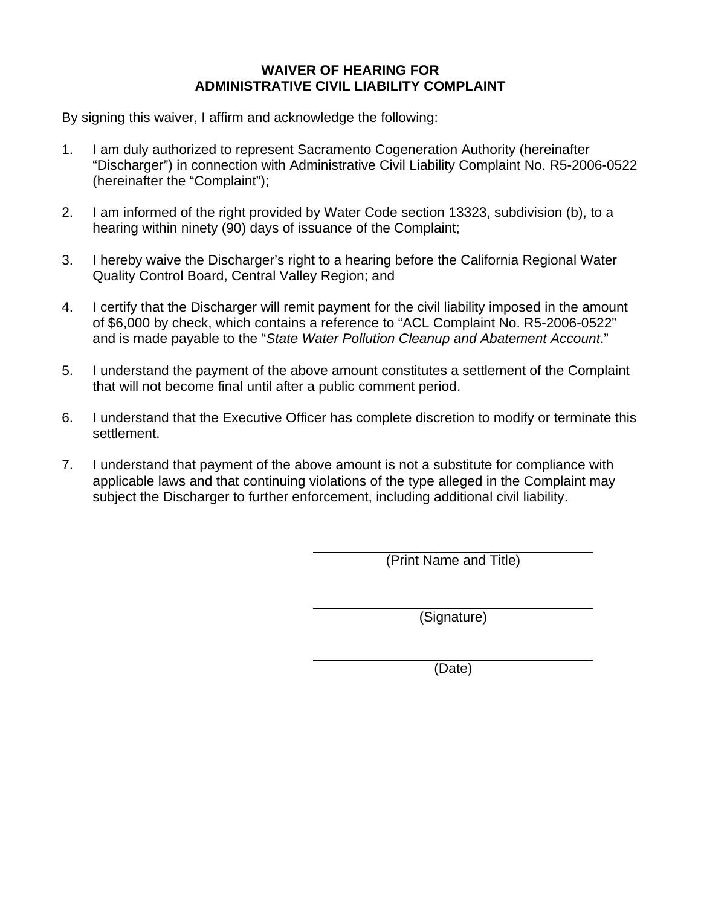## **WAIVER OF HEARING FOR ADMINISTRATIVE CIVIL LIABILITY COMPLAINT**

By signing this waiver, I affirm and acknowledge the following:

- 1. I am duly authorized to represent Sacramento Cogeneration Authority (hereinafter "Discharger") in connection with Administrative Civil Liability Complaint No. R5-2006-0522 (hereinafter the "Complaint");
- 2. I am informed of the right provided by Water Code section 13323, subdivision (b), to a hearing within ninety (90) days of issuance of the Complaint;
- 3. I hereby waive the Discharger's right to a hearing before the California Regional Water Quality Control Board, Central Valley Region; and
- 4. I certify that the Discharger will remit payment for the civil liability imposed in the amount of \$6,000 by check, which contains a reference to "ACL Complaint No. R5-2006-0522" and is made payable to the "*State Water Pollution Cleanup and Abatement Account*."
- 5. I understand the payment of the above amount constitutes a settlement of the Complaint that will not become final until after a public comment period.
- 6. I understand that the Executive Officer has complete discretion to modify or terminate this settlement.
- 7. I understand that payment of the above amount is not a substitute for compliance with applicable laws and that continuing violations of the type alleged in the Complaint may subject the Discharger to further enforcement, including additional civil liability.

(Print Name and Title)

(Signature)

(Date)